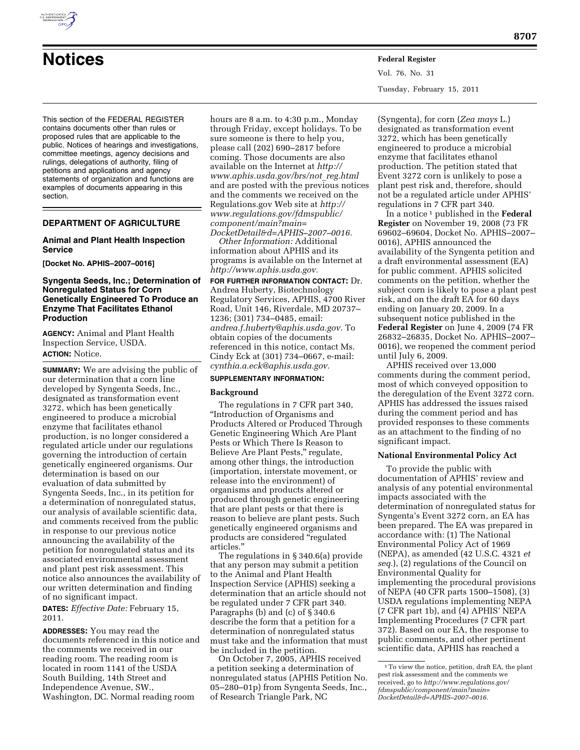

**Notices Federal Register**

Vol. 76, No. 31 Tuesday, February 15, 2011

This section of the FEDERAL REGISTER contains documents other than rules or proposed rules that are applicable to the public. Notices of hearings and investigations, committee meetings, agency decisions and rulings, delegations of authority, filing of petitions and applications and agency statements of organization and functions are examples of documents appearing in this section.

### **DEPARTMENT OF AGRICULTURE**

### **Animal and Plant Health Inspection Service**

**[Docket No. APHIS–2007–0016]** 

### **Syngenta Seeds, Inc.; Determination of Nonregulated Status for Corn Genetically Engineered To Produce an Enzyme That Facilitates Ethanol Production**

**AGENCY:** Animal and Plant Health Inspection Service, USDA. **ACTION:** Notice.

**SUMMARY:** We are advising the public of our determination that a corn line developed by Syngenta Seeds, Inc., designated as transformation event 3272, which has been genetically engineered to produce a microbial enzyme that facilitates ethanol production, is no longer considered a regulated article under our regulations governing the introduction of certain genetically engineered organisms. Our determination is based on our evaluation of data submitted by Syngenta Seeds, Inc., in its petition for a determination of nonregulated status, our analysis of available scientific data, and comments received from the public in response to our previous notice announcing the availability of the petition for nonregulated status and its associated environmental assessment and plant pest risk assessment. This notice also announces the availability of our written determination and finding of no significant impact.

**DATES:** *Effective Date:* February 15, 2011.

**ADDRESSES:** You may read the documents referenced in this notice and the comments we received in our reading room. The reading room is located in room 1141 of the USDA South Building, 14th Street and Independence Avenue, SW., Washington, DC. Normal reading room

hours are 8 a.m. to 4:30 p.m., Monday through Friday, except holidays. To be sure someone is there to help you, please call (202) 690–2817 before coming. Those documents are also available on the Internet at *[http://](http://www.aphis.usda.gov/brs/not_reg.html) [www.aphis.usda.gov/brs/not](http://www.aphis.usda.gov/brs/not_reg.html)*\_*reg.html*  and are posted with the previous notices and the comments we received on the Regulations.gov Web site at *[http://](http://www.regulations.gov/fdmspublic/component/main?main=DocketDetail&d=APHIS-2007-0016) [www.regulations.gov/fdmspublic/](http://www.regulations.gov/fdmspublic/component/main?main=DocketDetail&d=APHIS-2007-0016) [component/main?main=](http://www.regulations.gov/fdmspublic/component/main?main=DocketDetail&d=APHIS-2007-0016) [DocketDetail&d=APHIS–2007–0016.](http://www.regulations.gov/fdmspublic/component/main?main=DocketDetail&d=APHIS-2007-0016)* 

*Other Information:* Additional information about APHIS and its programs is available on the Internet at *[http://www.aphis.usda.gov.](http://www.aphis.usda.gov)* 

**FOR FURTHER INFORMATION CONTACT:** Dr. Andrea Huberty, Biotechnology Regulatory Services, APHIS, 4700 River Road, Unit 146, Riverdale, MD 20737– 1236; (301) 734–0485, email: *[andrea.f.huberty@aphis.usda.gov.](mailto:andrea.f.huberty@aphis.usda.gov)* To obtain copies of the documents referenced in this notice, contact Ms. Cindy Eck at (301) 734–0667, e-mail: *[cynthia.a.eck@aphis.usda.gov.](mailto:cynthia.a.eck@aphis.usda.gov)* 

## **SUPPLEMENTARY INFORMATION:**

#### **Background**

The regulations in 7 CFR part 340, ''Introduction of Organisms and Products Altered or Produced Through Genetic Engineering Which Are Plant Pests or Which There Is Reason to Believe Are Plant Pests,'' regulate, among other things, the introduction (importation, interstate movement, or release into the environment) of organisms and products altered or produced through genetic engineering that are plant pests or that there is reason to believe are plant pests. Such genetically engineered organisms and products are considered ''regulated articles.''

The regulations in § 340.6(a) provide that any person may submit a petition to the Animal and Plant Health Inspection Service (APHIS) seeking a determination that an article should not be regulated under 7 CFR part 340. Paragraphs (b) and (c) of § 340.6 describe the form that a petition for a determination of nonregulated status must take and the information that must be included in the petition.

On October 7, 2005, APHIS received a petition seeking a determination of nonregulated status (APHIS Petition No. 05–280–01p) from Syngenta Seeds, Inc., of Research Triangle Park, NC

(Syngenta), for corn (*Zea mays* L.) designated as transformation event 3272, which has been genetically engineered to produce a microbial enzyme that facilitates ethanol production. The petition stated that Event 3272 corn is unlikely to pose a plant pest risk and, therefore, should not be a regulated article under APHIS' regulations in 7 CFR part 340.

In a notice 1 published in the **Federal Register** on November 19, 2008 (73 FR 69602–69604, Docket No. APHIS–2007– 0016), APHIS announced the availability of the Syngenta petition and a draft environmental assessment (EA) for public comment. APHIS solicited comments on the petition, whether the subject corn is likely to pose a plant pest risk, and on the draft EA for 60 days ending on January 20, 2009. In a subsequent notice published in the **Federal Register** on June 4, 2009 (74 FR 26832–26835, Docket No. APHIS–2007– 0016), we reopened the comment period until July 6, 2009.

APHIS received over 13,000 comments during the comment period, most of which conveyed opposition to the deregulation of the Event 3272 corn. APHIS has addressed the issues raised during the comment period and has provided responses to these comments as an attachment to the finding of no significant impact.

#### **National Environmental Policy Act**

To provide the public with documentation of APHIS' review and analysis of any potential environmental impacts associated with the determination of nonregulated status for Syngenta's Event 3272 corn, an EA has been prepared. The EA was prepared in accordance with: (1) The National Environmental Policy Act of 1969 (NEPA), as amended (42 U.S.C. 4321 *et seq.*), (2) regulations of the Council on Environmental Quality for implementing the procedural provisions of NEPA (40 CFR parts 1500–1508), (3) USDA regulations implementing NEPA (7 CFR part 1b), and (4) APHIS' NEPA Implementing Procedures (7 CFR part 372). Based on our EA, the response to public comments, and other pertinent scientific data, APHIS has reached a

<sup>1</sup>To view the notice, petition, draft EA, the plant pest risk assessment and the comments we received, go to *[http://www.regulations.gov/](http://www.regulations.gov/fdmspublic/component/main?main=DocketDetail&d=APHIS-2007-0016) [fdmspublic/component/main?main=](http://www.regulations.gov/fdmspublic/component/main?main=DocketDetail&d=APHIS-2007-0016) [DocketDetail&d=APHIS–2007–0016.](http://www.regulations.gov/fdmspublic/component/main?main=DocketDetail&d=APHIS-2007-0016)*